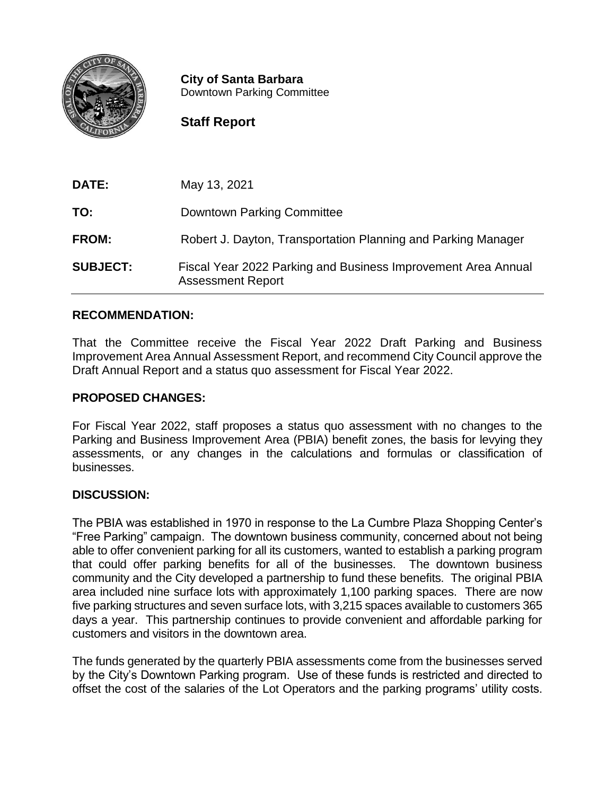

**City of Santa Barbara** Downtown Parking Committee

# **Staff Report**

| DATE:           | May 13, 2021                                                                              |
|-----------------|-------------------------------------------------------------------------------------------|
| TO:             | Downtown Parking Committee                                                                |
| <b>FROM:</b>    | Robert J. Dayton, Transportation Planning and Parking Manager                             |
| <b>SUBJECT:</b> | Fiscal Year 2022 Parking and Business Improvement Area Annual<br><b>Assessment Report</b> |

## **RECOMMENDATION:**

That the Committee receive the Fiscal Year 2022 Draft Parking and Business Improvement Area Annual Assessment Report, and recommend City Council approve the Draft Annual Report and a status quo assessment for Fiscal Year 2022.

### **PROPOSED CHANGES:**

For Fiscal Year 2022, staff proposes a status quo assessment with no changes to the Parking and Business Improvement Area (PBIA) benefit zones, the basis for levying they assessments, or any changes in the calculations and formulas or classification of businesses.

### **DISCUSSION:**

The PBIA was established in 1970 in response to the La Cumbre Plaza Shopping Center's "Free Parking" campaign. The downtown business community, concerned about not being able to offer convenient parking for all its customers, wanted to establish a parking program that could offer parking benefits for all of the businesses. The downtown business community and the City developed a partnership to fund these benefits. The original PBIA area included nine surface lots with approximately 1,100 parking spaces. There are now five parking structures and seven surface lots, with 3,215 spaces available to customers 365 days a year. This partnership continues to provide convenient and affordable parking for customers and visitors in the downtown area.

The funds generated by the quarterly PBIA assessments come from the businesses served by the City's Downtown Parking program. Use of these funds is restricted and directed to offset the cost of the salaries of the Lot Operators and the parking programs' utility costs.